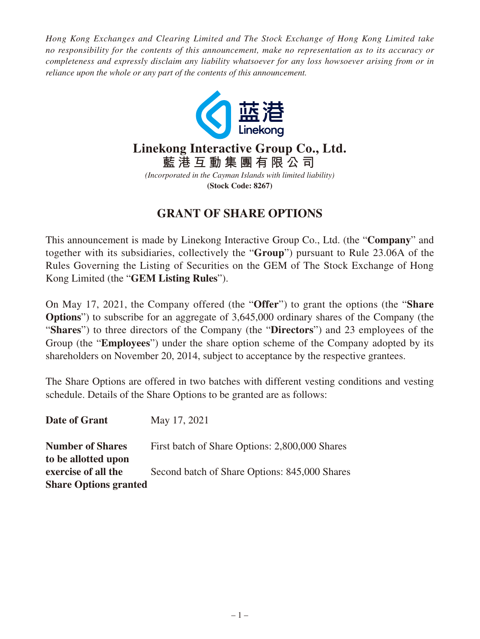*Hong Kong Exchanges and Clearing Limited and The Stock Exchange of Hong Kong Limited take no responsibility for the contents of this announcement, make no representation as to its accuracy or completeness and expressly disclaim any liability whatsoever for any loss howsoever arising from or in reliance upon the whole or any part of the contents of this announcement.*



## **GRANT OF SHARE OPTIONS**

This announcement is made by Linekong Interactive Group Co., Ltd. (the "**Company**" and together with its subsidiaries, collectively the "**Group**") pursuant to Rule 23.06A of the Rules Governing the Listing of Securities on the GEM of The Stock Exchange of Hong Kong Limited (the "**GEM Listing Rules**").

On May 17, 2021, the Company offered (the "**Offer**") to grant the options (the "**Share Options**") to subscribe for an aggregate of 3,645,000 ordinary shares of the Company (the "**Shares**") to three directors of the Company (the "**Directors**") and 23 employees of the Group (the "**Employees**") under the share option scheme of the Company adopted by its shareholders on November 20, 2014, subject to acceptance by the respective grantees.

The Share Options are offered in two batches with different vesting conditions and vesting schedule. Details of the Share Options to be granted are as follows:

| Date of Grant                              | May 17, 2021                                   |
|--------------------------------------------|------------------------------------------------|
| <b>Number of Shares</b>                    | First batch of Share Options: 2,800,000 Shares |
| to be allotted upon<br>exercise of all the | Second batch of Share Options: 845,000 Shares  |
| <b>Share Options granted</b>               |                                                |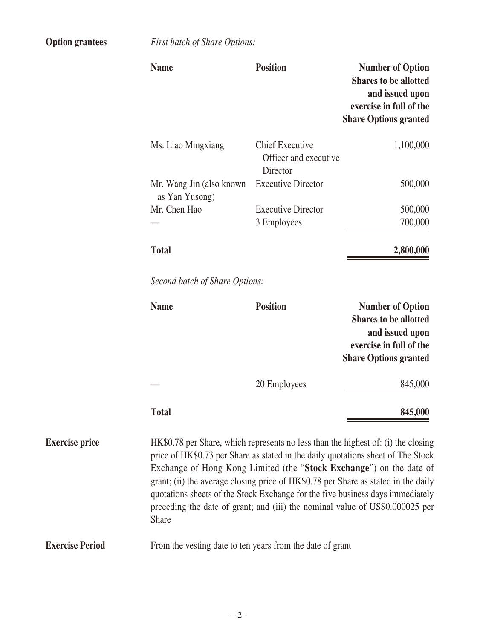**Option grantees** *First batch of Share Options:*

|                        | <b>Name</b>                                                                                                                                                                                                                                                                                                                                                                                                                                                                                                          | <b>Position</b>                                             | <b>Number of Option</b><br><b>Shares to be allotted</b><br>and issued upon<br>exercise in full of the<br><b>Share Options granted</b> |
|------------------------|----------------------------------------------------------------------------------------------------------------------------------------------------------------------------------------------------------------------------------------------------------------------------------------------------------------------------------------------------------------------------------------------------------------------------------------------------------------------------------------------------------------------|-------------------------------------------------------------|---------------------------------------------------------------------------------------------------------------------------------------|
|                        | Ms. Liao Mingxiang                                                                                                                                                                                                                                                                                                                                                                                                                                                                                                   | <b>Chief Executive</b><br>Officer and executive<br>Director | 1,100,000                                                                                                                             |
|                        | Mr. Wang Jin (also known)<br>as Yan Yusong)                                                                                                                                                                                                                                                                                                                                                                                                                                                                          | <b>Executive Director</b>                                   | 500,000                                                                                                                               |
|                        | Mr. Chen Hao                                                                                                                                                                                                                                                                                                                                                                                                                                                                                                         | <b>Executive Director</b><br>3 Employees                    | 500,000<br>700,000                                                                                                                    |
|                        | <b>Total</b>                                                                                                                                                                                                                                                                                                                                                                                                                                                                                                         |                                                             | 2,800,000                                                                                                                             |
|                        | Second batch of Share Options:                                                                                                                                                                                                                                                                                                                                                                                                                                                                                       |                                                             |                                                                                                                                       |
|                        | <b>Name</b>                                                                                                                                                                                                                                                                                                                                                                                                                                                                                                          | <b>Position</b>                                             | <b>Number of Option</b><br><b>Shares to be allotted</b><br>and issued upon<br>exercise in full of the<br><b>Share Options granted</b> |
|                        |                                                                                                                                                                                                                                                                                                                                                                                                                                                                                                                      | 20 Employees                                                | 845,000                                                                                                                               |
|                        | <b>Total</b>                                                                                                                                                                                                                                                                                                                                                                                                                                                                                                         |                                                             | 845,000                                                                                                                               |
| <b>Exercise price</b>  | HK\$0.78 per Share, which represents no less than the highest of: (i) the closing<br>price of HK\$0.73 per Share as stated in the daily quotations sheet of The Stock<br>Exchange of Hong Kong Limited (the "Stock Exchange") on the date of<br>grant; (ii) the average closing price of HK\$0.78 per Share as stated in the daily<br>quotations sheets of the Stock Exchange for the five business days immediately<br>preceding the date of grant; and (iii) the nominal value of US\$0.000025 per<br><b>Share</b> |                                                             |                                                                                                                                       |
| <b>Exercise Period</b> | From the vesting date to ten years from the date of grant                                                                                                                                                                                                                                                                                                                                                                                                                                                            |                                                             |                                                                                                                                       |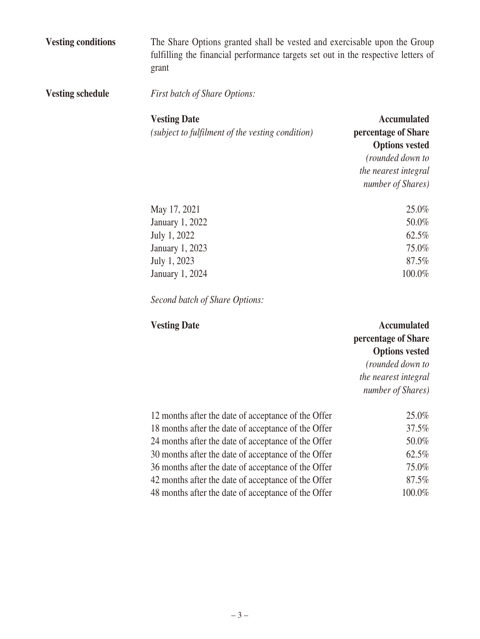**Vesting conditions** The Share Options granted shall be vested and exercisable upon the Group fulfilling the financial performance targets set out in the respective letters of grant

**Vesting schedule** *First batch of Share Options:*

## **Vesting Date**

*(subject to fulfilment of the vesting condition)*

**Accumulated percentage of Share Options vested** *(rounded down to* 

*the nearest integral number of Shares)*

| May 17, 2021    | 25.0%  |
|-----------------|--------|
| January 1, 2022 | 50.0%  |
| July 1, 2022    | 62.5%  |
| January 1, 2023 | 75.0%  |
| July 1, 2023    | 87.5%  |
| January 1, 2024 | 100.0% |

*Second batch of Share Options:*

| <b>Vesting Date</b>                                 | <b>Accumulated</b><br>percentage of Share |
|-----------------------------------------------------|-------------------------------------------|
|                                                     | <b>Options vested</b>                     |
|                                                     | (rounded down to                          |
|                                                     | the nearest integral                      |
|                                                     | number of Shares)                         |
| 12 months after the date of acceptance of the Offer | 25.0%                                     |
| 18 months after the date of acceptance of the Offer | 37.5%                                     |
| 24 months after the date of acceptance of the Offer | 50.0%                                     |
| 30 months after the date of acceptance of the Offer | 62.5%                                     |
| 36 months after the date of acceptance of the Offer | 75.0%                                     |
| 42 months after the date of acceptance of the Offer | 87.5%                                     |
| 48 months after the date of acceptance of the Offer | $100.0\%$                                 |